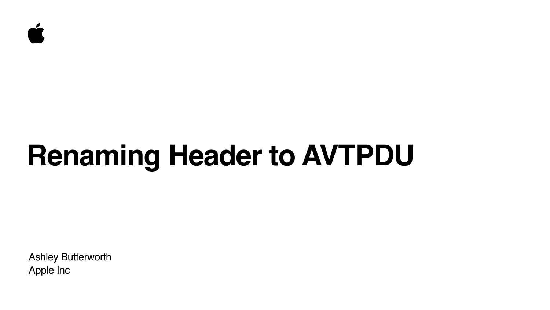Ashley Butterworth Apple Inc



# **Renaming Header to AVTPDU**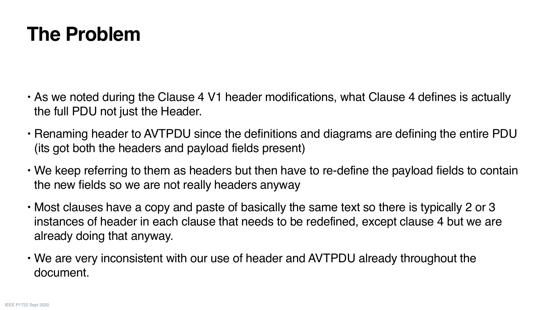### **The Problem**

• As we noted during the Clause 4 V1 header modifications, what Clause 4 defines is actually

• Renaming header to AVTPDU since the definitions and diagrams are defining the entire PDU

• We keep referring to them as headers but then have to re-define the payload fields to contain

- the full PDU not just the Header.
- (its got both the headers and payload fields present)
- the new fields so we are not really headers anyway
- already doing that anyway.
- We are very inconsistent with our use of header and AVTPDU already throughout the document.

• Most clauses have a copy and paste of basically the same text so there is typically 2 or 3 instances of header in each clause that needs to be redefined, except clause 4 but we are

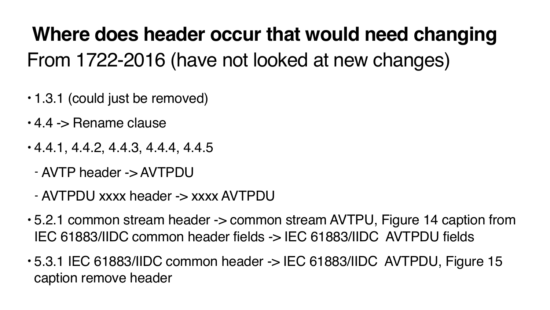## From 1722-2016 (have not looked at new changes) **Where does header occur that would need changing**

- 1.3.1 (could just be removed)
- 4.4 -> Rename clause
- 4.4.1, 4.4.2, 4.4.3, 4.4.4, 4.4.5
	- AVTP header -> AVTPDU
	- AVTPDU xxxx header -> xxxx AVTPDU
- 5.2.1 common stream header -> common stream AVTPU, Figure 14 caption from IEC 61883/IIDC common header fields -> IEC 61883/IIDC AVTPDU fields
- 5.3.1 IEC 61883/IIDC common header -> IEC 61883/IIDC AVTPDU, Figure 15 caption remove header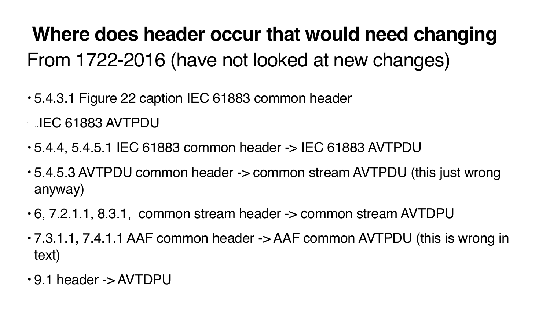## From 1722-2016 (have not looked at new changes) **Where does header occur that would need changing**

- 5.4.3.1 Figure 22 caption IEC 61883 common header • -> IEC 61883 AVTPDU
- 5.4.4, 5.4.5.1 IEC 61883 common header -> IEC 61883 AVTPDU
- 5.4.5.3 AVTPDU common header -> common stream AVTPDU (this just wrong anyway)
- 6, 7.2.1.1, 8.3.1, common stream header -> common stream AVTDPU
- 7.3.1.1, 7.4.1.1 AAF common header -> AAF common AVTPDU (this is wrong in text)
- 9.1 header -> AVTDPU